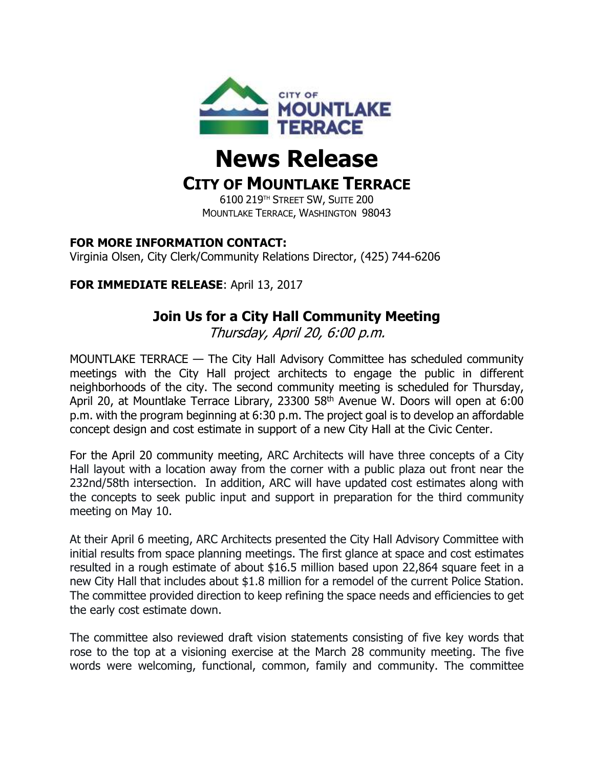

# **News Release**

## **CITY OF MOUNTLAKE TERRACE**

6100 219TH STREET SW, SUITE 200 MOUNTLAKE TERRACE, WASHINGTON 98043

#### **FOR MORE INFORMATION CONTACT:**

Virginia Olsen, City Clerk/Community Relations Director, (425) 744-6206

#### **FOR IMMEDIATE RELEASE**: April 13, 2017

### **Join Us for a City Hall Community Meeting**

Thursday, April 20, 6:00 p.m.

MOUNTLAKE TERRACE — The City Hall Advisory Committee has scheduled community meetings with the City Hall project architects to engage the public in different neighborhoods of the city. The second community meeting is scheduled for Thursday, April 20, at Mountlake Terrace Library, 23300 58<sup>th</sup> Avenue W. Doors will open at 6:00 p.m. with the program beginning at 6:30 p.m. The project goal is to develop an affordable concept design and cost estimate in support of a new City Hall at the Civic Center.

For the April 20 community meeting, ARC Architects will have three concepts of a City Hall layout with a location away from the corner with a public plaza out front near the 232nd/58th intersection. In addition, ARC will have updated cost estimates along with the concepts to seek public input and support in preparation for the third community meeting on May 10.

At their April 6 meeting, ARC Architects presented the City Hall Advisory Committee with initial results from space planning meetings. The first glance at space and cost estimates resulted in a rough estimate of about \$16.5 million based upon 22,864 square feet in a new City Hall that includes about \$1.8 million for a remodel of the current Police Station. The committee provided direction to keep refining the space needs and efficiencies to get the early cost estimate down.

The committee also reviewed draft vision statements consisting of five key words that rose to the top at a visioning exercise at the March 28 community meeting. The five words were welcoming, functional, common, family and community. The committee